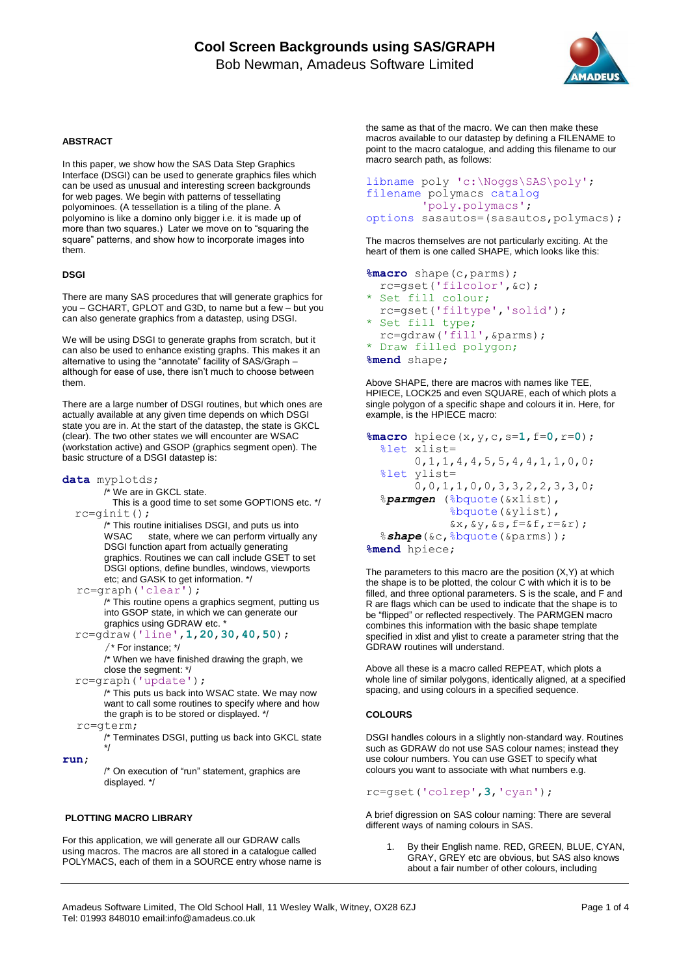

## **ABSTRACT**

In this paper, we show how the SAS Data Step Graphics Interface (DSGI) can be used to generate graphics files which can be used as unusual and interesting screen backgrounds for web pages. We begin with patterns of tessellating polyominoes. (A tessellation is a tiling of the plane. A polyomino is like a domino only bigger i.e. it is made up of more than two squares.) Later we move on to "squaring the square" patterns, and show how to incorporate images into them.

### **DSGI**

There are many SAS procedures that will generate graphics for you – GCHART, GPLOT and G3D, to name but a few – but you can also generate graphics from a datastep, using DSGI.

We will be using DSGI to generate graphs from scratch, but it can also be used to enhance existing graphs. This makes it an alternative to using the "annotate" facility of SAS/Graph – although for ease of use, there isn't much to choose between them.

There are a large number of DSGI routines, but which ones are actually available at any given time depends on which DSGI state you are in. At the start of the datastep, the state is GKCL (clear). The two other states we will encounter are WSAC (workstation active) and GSOP (graphics segment open). The basic structure of a DSGI datastep is:

#### **data** myplotds;

/\* We are in GKCL state.

 This is a good time to set some GOPTIONS etc. \*/ rc=ginit();

/\* This routine initialises DSGI, and puts us into<br>WSAC state, where we can perform virtually state, where we can perform virtually any DSGI function apart from actually generating graphics. Routines we can call include GSET to set DSGI options, define bundles, windows, viewports etc; and GASK to get information. \*/

rc=graph('clear');

/\* This routine opens a graphics segment, putting us into GSOP state, in which we can generate our graphics using GDRAW etc.

rc=gdraw('line',**1**,**20**,**30**,**40**,**50**);

/\* For instance; \*/

/\* When we have finished drawing the graph, we close the segment: \*/

rc=graph('update');

/\* This puts us back into WSAC state. We may now want to call some routines to specify where and how the graph is to be stored or displayed. \*/

rc=gterm;

/\* Terminates DSGI, putting us back into GKCL state \*/

**run**;

/\* On execution of "run" statement, graphics are displayed. \*/

### **PLOTTING MACRO LIBRARY**

For this application, we will generate all our GDRAW calls using macros. The macros are all stored in a catalogue called POLYMACS, each of them in a SOURCE entry whose name is the same as that of the macro. We can then make these macros available to our datastep by defining a FILENAME to point to the macro catalogue, and adding this filename to our macro search path, as follows:

```
libname poly 'c:\Noggs\SAS\poly';
filename polymacs catalog
         'poly.polymacs';
options sasautos=(sasautos,polymacs);
```
The macros themselves are not particularly exciting. At the heart of them is one called SHAPE, which looks like this:

```
%macro shape(c,parms); 
   rc=gset('filcolor',&c); 
  Set fill colour;
   rc=gset('filtype','solid'); 
  Set fill type;
   rc=gdraw('fill',&parms); 
* Draw filled polygon; 
%mend shape;
```
Above SHAPE, there are macros with names like TEE, HPIECE, LOCK25 and even SQUARE, each of which plots a single polygon of a specific shape and colours it in. Here, for example, is the HPIECE macro:

```
%macro hpiece(x,y,c,s=1,f=0,r=0); 
   %let xlist= 
        0,1,1,4,4,5,5,4,4,1,1,0,0; 
   %let ylist= 
        0,0,1,1,0,0,3,3,2,2,3,3,0;
   %parmgen (%bquote(&xlist),
              %bquote(&ylist),
             &x,&y,&s,f=&f,r=&r); %shape(&c,%bquote(&parms)); 
%mend hpiece;
```
The parameters to this macro are the position (X,Y) at which the shape is to be plotted, the colour C with which it is to be filled, and three optional parameters. S is the scale, and F and R are flags which can be used to indicate that the shape is to be "flipped" or reflected respectively. The PARMGEN macro combines this information with the basic shape template specified in xlist and ylist to create a parameter string that the GDRAW routines will understand.

Above all these is a macro called REPEAT, which plots a whole line of similar polygons, identically aligned, at a specified spacing, and using colours in a specified sequence.

### **COLOURS**

DSGI handles colours in a slightly non-standard way. Routines such as GDRAW do not use SAS colour names; instead they use colour numbers. You can use GSET to specify what colours you want to associate with what numbers e.g.

# rc=gset('colrep',**3**,'cyan');

A brief digression on SAS colour naming: There are several different ways of naming colours in SAS.

1. By their English name. RED, GREEN, BLUE, CYAN, GRAY, GREY etc are obvious, but SAS also knows about a fair number of other colours, including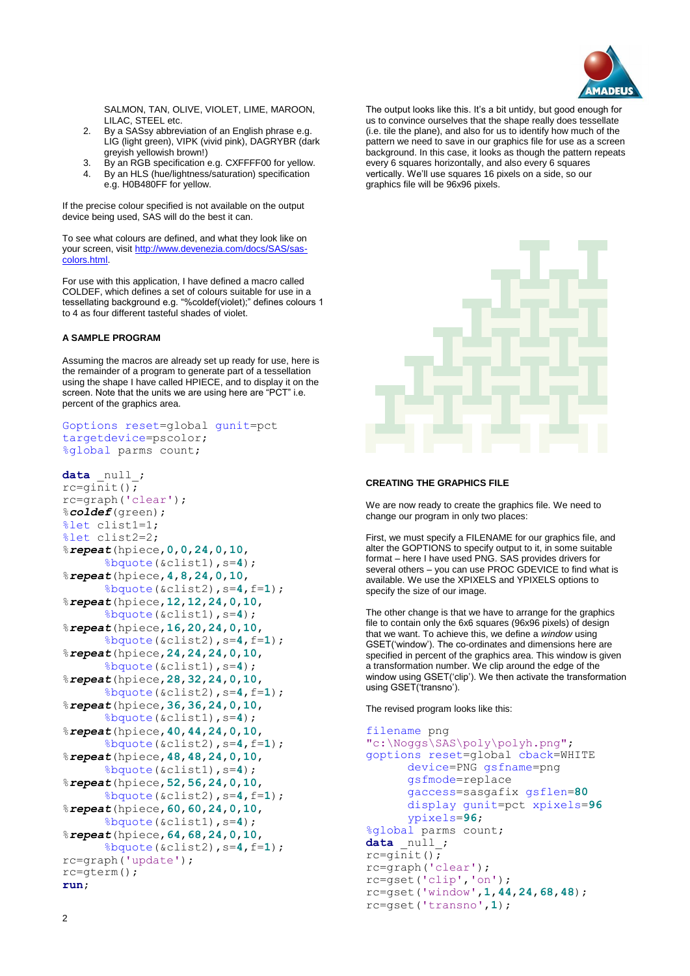

SALMON, TAN, OLIVE, VIOLET, LIME, MAROON, LILAC, STEEL etc.

- 2. By a SASsy abbreviation of an English phrase e.g. LIG (light green), VIPK (vivid pink), DAGRYBR (dark greyish yellowish brown!)
- 3. By an RGB specification e.g. CXFFFF00 for yellow.
- 4. By an HLS (hue/lightness/saturation) specification e.g. H0B480FF for yellow.

If the precise colour specified is not available on the output device being used, SAS will do the best it can.

To see what colours are defined, and what they look like on your screen, visi[t http://www.devenezia.com/docs/SAS/sas](http://www.devenezia.com/docs/SAS/sas-colors.html)[colors.html.](http://www.devenezia.com/docs/SAS/sas-colors.html)

For use with this application, I have defined a macro called COLDEF, which defines a set of colours suitable for use in a tessellating background e.g. "%coldef(violet);" defines colours 1 to 4 as four different tasteful shades of violet.

## **A SAMPLE PROGRAM**

Assuming the macros are already set up ready for use, here is the remainder of a program to generate part of a tessellation using the shape I have called HPIECE, and to display it on the screen. Note that the units we are using here are "PCT" i.e. percent of the graphics area.

```
Goptions reset=global gunit=pct 
targetdevice=pscolor;
%global parms count;
```

```
data null;
rc = \overline{qinit}();rc=graph('clear');
%coldef(green);
%let clist1=1;
%let clist2=2;
%repeat(hpiece,0,0,24,0,10,
      %bquote(&clist1),s=4);
%repeat(hpiece,4,8,24,0,10,
      %bquote(&clist2),s=4,f=1);
%repeat(hpiece,12,12,24,0,10,
      %bquote(&clist1),s=4);
%repeat(hpiece,16,20,24,0,10,
      %bquote(&clist2),s=4,f=1);
%repeat(hpiece,24,24,24,0,10,
      %bquote(&clist1),s=4);
%repeat(hpiece,28,32,24,0,10,
      %bquote(&clist2),s=4,f=1);
%repeat(hpiece,36,36,24,0,10,
      %bquote(&clist1),s=4);
%repeat(hpiece,40,44,24,0,10,
      %bquote(&clist2),s=4,f=1);
%repeat(hpiece,48,48,24,0,10,
      %bquote(&clist1),s=4);
%repeat(hpiece,52,56,24,0,10,
      %bquote(&clist2),s=4,f=1);
%repeat(hpiece,60,60,24,0,10,
      %bquote(&clist1),s=4);
%repeat(hpiece,64,68,24,0,10,
      %bquote(&clist2),s=4,f=1);
rc=graph('update');
rc=gterm();
run;
```
The output looks like this. It's a bit untidy, but good enough for us to convince ourselves that the shape really does tessellate (i.e. tile the plane), and also for us to identify how much of the pattern we need to save in our graphics file for use as a screen background. In this case, it looks as though the pattern repeats every 6 squares horizontally, and also every 6 squares vertically. We'll use squares 16 pixels on a side, so our graphics file will be 96x96 pixels.



# **CREATING THE GRAPHICS FILE**

We are now ready to create the graphics file. We need to change our program in only two places:

First, we must specify a FILENAME for our graphics file, and alter the GOPTIONS to specify output to it, in some suitable format – here I have used PNG. SAS provides drivers for several others – you can use PROC GDEVICE to find what is available. We use the XPIXELS and YPIXELS options to specify the size of our image.

The other change is that we have to arrange for the graphics file to contain only the 6x6 squares (96x96 pixels) of design that we want. To achieve this, we define a *window* using GSET('window'). The co-ordinates and dimensions here are specified in percent of the graphics area. This window is given a transformation number. We clip around the edge of the window using GSET('clip'). We then activate the transformation using GSET('transno').

The revised program looks like this:

```
filename png 
"c:\Noggs\SAS\poly\polyh.png";
goptions reset=global cback=WHITE
      device=PNG gsfname=png 
      gsfmode=replace 
      gaccess=sasgafix gsflen=80
      display gunit=pct xpixels=96
      ypixels=96;
%global parms count;
data null;
rc = \overline{qinit}();rc=graph('clear');
rc=gset('clip','on');
rc=gset('window',1,44,24,68,48);
rc=gset('transno',1);
```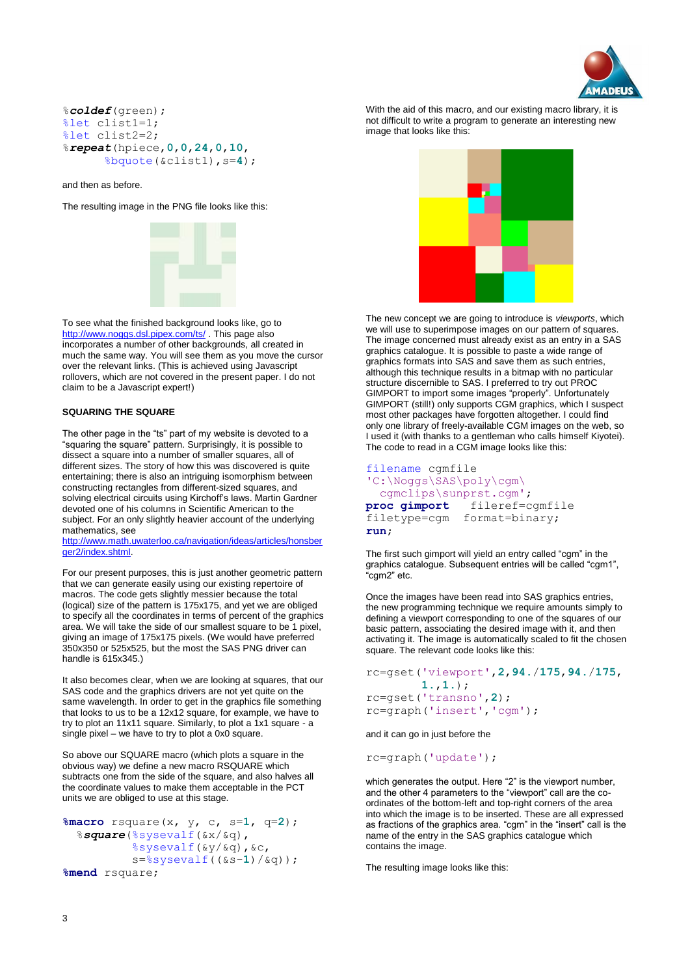

### %*coldef*(green); %let clist1=1; %let clist2=2; %*repeat*(hpiece,**0**,**0**,**24**,**0**,**10**, %bquote(&clist1),s=**4**);

and then as before.

The resulting image in the PNG file looks like this:



To see what the finished background looks like, go to <http://www.noggs.dsl.pipex.com/ts/>. This page also incorporates a number of other backgrounds, all created in much the same way. You will see them as you move the cursor over the relevant links. (This is achieved using Javascript rollovers, which are not covered in the present paper. I do not claim to be a Javascript expert!)

#### **SQUARING THE SQUARE**

The other page in the "ts" part of my website is devoted to a "squaring the square" pattern. Surprisingly, it is possible to dissect a square into a number of smaller squares, all of different sizes. The story of how this was discovered is quite entertaining; there is also an intriguing isomorphism between constructing rectangles from different-sized squares, and solving electrical circuits using Kirchoff's laws. Martin Gardner devoted one of his columns in Scientific American to the subject. For an only slightly heavier account of the underlying mathematics, see

[http://www.math.uwaterloo.ca/navigation/ideas/articles/honsber](http://www.math.uwaterloo.ca/navigation/ideas/articles/honsberger2/index.shtml) [ger2/index.shtml.](http://www.math.uwaterloo.ca/navigation/ideas/articles/honsberger2/index.shtml)

For our present purposes, this is just another geometric pattern that we can generate easily using our existing repertoire of macros. The code gets slightly messier because the total (logical) size of the pattern is 175x175, and yet we are obliged to specify all the coordinates in terms of percent of the graphics area. We will take the side of our smallest square to be 1 pixel, giving an image of 175x175 pixels. (We would have preferred 350x350 or 525x525, but the most the SAS PNG driver can handle is 615x345.)

It also becomes clear, when we are looking at squares, that our SAS code and the graphics drivers are not yet quite on the same wavelength. In order to get in the graphics file something that looks to us to be a 12x12 square, for example, we have to try to plot an 11x11 square. Similarly, to plot a 1x1 square - a single pixel – we have to try to plot a 0x0 square.

So above our SQUARE macro (which plots a square in the obvious way) we define a new macro RSQUARE which subtracts one from the side of the square, and also halves all the coordinate values to make them acceptable in the PCT units we are obliged to use at this stage.

```
%macro rsquare(x, y, c, s=1, q=2);
   %square(%sysevalf(&x/&q),
           %sysevalf(&y/&q),&c,
           s=%sysevalf((&s-1)/&q));
%mend rsquare;
```




The new concept we are going to introduce is *viewports*, which we will use to superimpose images on our pattern of squares. The image concerned must already exist as an entry in a SAS graphics catalogue. It is possible to paste a wide range of graphics formats into SAS and save them as such entries, although this technique results in a bitmap with no particular structure discernible to SAS. I preferred to try out PROC GIMPORT to import some images "properly". Unfortunately GIMPORT (still!) only supports CGM graphics, which I suspect most other packages have forgotten altogether. I could find only one library of freely-available CGM images on the web, so I used it (with thanks to a gentleman who calls himself Kiyotei). The code to read in a CGM image looks like this:

```
filename cgmfile 
'C:\Noggs\SAS\poly\cgm\
   cgmclips\sunprst.cgm';
proc gimport fileref=cgmfile 
              format=binary;
run;
```
The first such gimport will yield an entry called "cgm" in the graphics catalogue. Subsequent entries will be called "cgm1", "cgm2" etc.

Once the images have been read into SAS graphics entries, the new programming technique we require amounts simply to defining a viewport corresponding to one of the squares of our basic pattern, associating the desired image with it, and then activating it. The image is automatically scaled to fit the chosen square. The relevant code looks like this:

```
rc=gset('viewport',2,94./175,94./175,
         1.,1.);
rc=gset('transno',2);
rc=graph('insert','cgm');
```
and it can go in just before the

rc=graph('update');

which generates the output. Here "2" is the viewport number, and the other 4 parameters to the "viewport" call are the coordinates of the bottom-left and top-right corners of the area into which the image is to be inserted. These are all expressed as fractions of the graphics area. "cgm" in the "insert" call is the name of the entry in the SAS graphics catalogue which contains the image.

The resulting image looks like this: